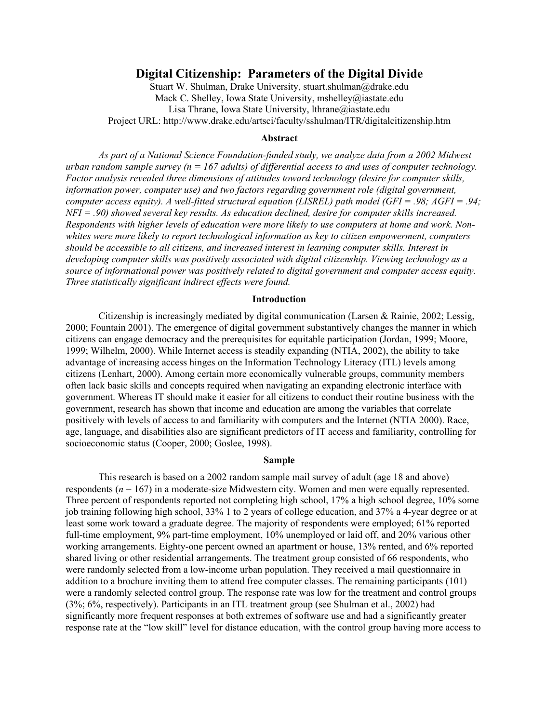# **Digital Citizenship: Parameters of the Digital Divide**

Stuart W. Shulman, Drake University, stuart.shulman@drake.edu Mack C. Shelley, Iowa State University, mshelley@iastate.edu Lisa Thrane, Iowa State University, lthrane@iastate.edu Project URL: http://www.drake.edu/artsci/faculty/sshulman/ITR/digitalcitizenship.htm

### **Abstract**

*As part of a National Science Foundation-funded study, we analyze data from a 2002 Midwest urban random sample survey (n = 167 adults) of differential access to and uses of computer technology. Factor analysis revealed three dimensions of attitudes toward technology (desire for computer skills, information power, computer use) and two factors regarding government role (digital government, computer access equity). A well-fitted structural equation (LISREL) path model (GFI = .98; AGFI = .94; NFI = .90) showed several key results. As education declined, desire for computer skills increased. Respondents with higher levels of education were more likely to use computers at home and work. Nonwhites were more likely to report technological information as key to citizen empowerment, computers should be accessible to all citizens, and increased interest in learning computer skills. Interest in developing computer skills was positively associated with digital citizenship. Viewing technology as a source of informational power was positively related to digital government and computer access equity. Three statistically significant indirect effects were found.*

#### **Introduction**

Citizenship is increasingly mediated by digital communication (Larsen & Rainie, 2002; Lessig, 2000; Fountain 2001). The emergence of digital government substantively changes the manner in which citizens can engage democracy and the prerequisites for equitable participation (Jordan, 1999; Moore, 1999; Wilhelm, 2000). While Internet access is steadily expanding (NTIA, 2002), the ability to take advantage of increasing access hinges on the Information Technology Literacy (ITL) levels among citizens (Lenhart, 2000). Among certain more economically vulnerable groups, community members often lack basic skills and concepts required when navigating an expanding electronic interface with government. Whereas IT should make it easier for all citizens to conduct their routine business with the government, research has shown that income and education are among the variables that correlate positively with levels of access to and familiarity with computers and the Internet (NTIA 2000). Race, age, language, and disabilities also are significant predictors of IT access and familiarity, controlling for socioeconomic status (Cooper, 2000; Goslee, 1998).

## **Sample**

This research is based on a 2002 random sample mail survey of adult (age 18 and above) respondents  $(n = 167)$  in a moderate-size Midwestern city. Women and men were equally represented. Three percent of respondents reported not completing high school, 17% a high school degree, 10% some job training following high school, 33% 1 to 2 years of college education, and 37% a 4-year degree or at least some work toward a graduate degree. The majority of respondents were employed; 61% reported full-time employment, 9% part-time employment, 10% unemployed or laid off, and 20% various other working arrangements. Eighty-one percent owned an apartment or house, 13% rented, and 6% reported shared living or other residential arrangements. The treatment group consisted of 66 respondents, who were randomly selected from a low-income urban population. They received a mail questionnaire in addition to a brochure inviting them to attend free computer classes. The remaining participants (101) were a randomly selected control group. The response rate was low for the treatment and control groups (3%; 6%, respectively). Participants in an ITL treatment group (see Shulman et al., 2002) had significantly more frequent responses at both extremes of software use and had a significantly greater response rate at the "low skill" level for distance education, with the control group having more access to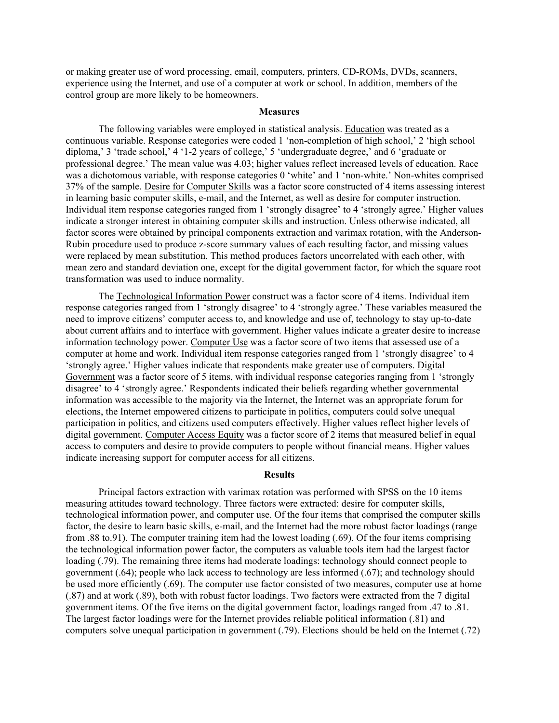or making greater use of word processing, email, computers, printers, CD-ROMs, DVDs, scanners, experience using the Internet, and use of a computer at work or school. In addition, members of the control group are more likely to be homeowners.

### **Measures**

The following variables were employed in statistical analysis. Education was treated as a continuous variable. Response categories were coded 1 'non-completion of high school,' 2 'high school diploma,' 3 'trade school,' 4 '1-2 years of college,' 5 'undergraduate degree,' and 6 'graduate or professional degree.' The mean value was 4.03; higher values reflect increased levels of education. Race was a dichotomous variable, with response categories 0 'white' and 1 'non-white.' Non-whites comprised 37% of the sample. Desire for Computer Skills was a factor score constructed of 4 items assessing interest in learning basic computer skills, e-mail, and the Internet, as well as desire for computer instruction. Individual item response categories ranged from 1 'strongly disagree' to 4 'strongly agree.' Higher values indicate a stronger interest in obtaining computer skills and instruction. Unless otherwise indicated, all factor scores were obtained by principal components extraction and varimax rotation, with the Anderson-Rubin procedure used to produce z-score summary values of each resulting factor, and missing values were replaced by mean substitution. This method produces factors uncorrelated with each other, with mean zero and standard deviation one, except for the digital government factor, for which the square root transformation was used to induce normality.

The Technological Information Power construct was a factor score of 4 items. Individual item response categories ranged from 1 'strongly disagree' to 4 'strongly agree.' These variables measured the need to improve citizens' computer access to, and knowledge and use of, technology to stay up-to-date about current affairs and to interface with government. Higher values indicate a greater desire to increase information technology power. Computer Use was a factor score of two items that assessed use of a computer at home and work. Individual item response categories ranged from 1 'strongly disagree' to 4 'strongly agree.' Higher values indicate that respondents make greater use of computers. Digital Government was a factor score of 5 items, with individual response categories ranging from 1 'strongly disagree' to 4 'strongly agree.' Respondents indicated their beliefs regarding whether governmental information was accessible to the majority via the Internet, the Internet was an appropriate forum for elections, the Internet empowered citizens to participate in politics, computers could solve unequal participation in politics, and citizens used computers effectively. Higher values reflect higher levels of digital government. Computer Access Equity was a factor score of 2 items that measured belief in equal access to computers and desire to provide computers to people without financial means. Higher values indicate increasing support for computer access for all citizens.

#### **Results**

Principal factors extraction with varimax rotation was performed with SPSS on the 10 items measuring attitudes toward technology. Three factors were extracted: desire for computer skills, technological information power, and computer use. Of the four items that comprised the computer skills factor, the desire to learn basic skills, e-mail, and the Internet had the more robust factor loadings (range from .88 to.91). The computer training item had the lowest loading (.69). Of the four items comprising the technological information power factor, the computers as valuable tools item had the largest factor loading (.79). The remaining three items had moderate loadings: technology should connect people to government (.64); people who lack access to technology are less informed (.67); and technology should be used more efficiently (.69). The computer use factor consisted of two measures, computer use at home (.87) and at work (.89), both with robust factor loadings. Two factors were extracted from the 7 digital government items. Of the five items on the digital government factor, loadings ranged from .47 to .81. The largest factor loadings were for the Internet provides reliable political information (.81) and computers solve unequal participation in government (.79). Elections should be held on the Internet (.72)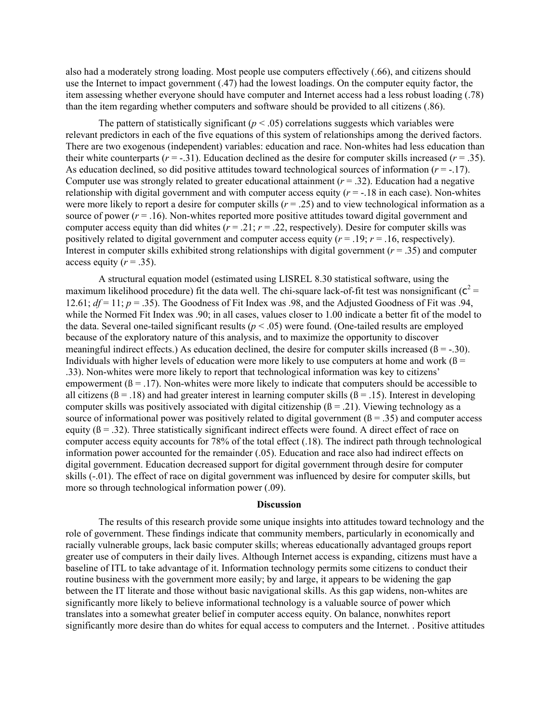also had a moderately strong loading. Most people use computers effectively (.66), and citizens should use the Internet to impact government (.47) had the lowest loadings. On the computer equity factor, the item assessing whether everyone should have computer and Internet access had a less robust loading (.78) than the item regarding whether computers and software should be provided to all citizens (.86).

The pattern of statistically significant ( $p < .05$ ) correlations suggests which variables were relevant predictors in each of the five equations of this system of relationships among the derived factors. There are two exogenous (independent) variables: education and race. Non-whites had less education than their white counterparts  $(r = -0.31)$ . Education declined as the desire for computer skills increased  $(r = 0.35)$ . As education declined, so did positive attitudes toward technological sources of information (*r* = -.17). Computer use was strongly related to greater educational attainment  $(r = .32)$ . Education had a negative relationship with digital government and with computer access equity  $(r = -18$  in each case). Non-whites were more likely to report a desire for computer skills  $(r = .25)$  and to view technological information as a source of power  $(r = .16)$ . Non-whites reported more positive attitudes toward digital government and computer access equity than did whites  $(r = .21; r = .22$ , respectively). Desire for computer skills was positively related to digital government and computer access equity  $(r = .19; r = .16$ , respectively). Interest in computer skills exhibited strong relationships with digital government  $(r = .35)$  and computer access equity  $(r = .35)$ .

A structural equation model (estimated using LISREL 8.30 statistical software, using the maximum likelihood procedure) fit the data well. The chi-square lack-of-fit test was nonsignificant ( $c^2$  = 12.61;  $df = 11$ ;  $p = .35$ ). The Goodness of Fit Index was .98, and the Adjusted Goodness of Fit was .94, while the Normed Fit Index was .90; in all cases, values closer to 1.00 indicate a better fit of the model to the data. Several one-tailed significant results  $(p < .05)$  were found. (One-tailed results are employed because of the exploratory nature of this analysis, and to maximize the opportunity to discover meaningful indirect effects.) As education declined, the desire for computer skills increased  $(\beta = -.30)$ . Individuals with higher levels of education were more likely to use computers at home and work  $(β =$ .33). Non-whites were more likely to report that technological information was key to citizens' empowerment  $(\beta = .17)$ . Non-whites were more likely to indicate that computers should be accessible to all citizens ( $\beta$  = .18) and had greater interest in learning computer skills ( $\beta$  = .15). Interest in developing computer skills was positively associated with digital citizenship  $(β = 0.21)$ . Viewing technology as a source of informational power was positively related to digital government  $(6 = .35)$  and computer access equity ( $\beta$  = .32). Three statistically significant indirect effects were found. A direct effect of race on computer access equity accounts for 78% of the total effect (.18). The indirect path through technological information power accounted for the remainder (.05). Education and race also had indirect effects on digital government. Education decreased support for digital government through desire for computer skills (-.01). The effect of race on digital government was influenced by desire for computer skills, but more so through technological information power (.09).

#### **Discussion**

The results of this research provide some unique insights into attitudes toward technology and the role of government. These findings indicate that community members, particularly in economically and racially vulnerable groups, lack basic computer skills; whereas educationally advantaged groups report greater use of computers in their daily lives. Although Internet access is expanding, citizens must have a baseline of ITL to take advantage of it. Information technology permits some citizens to conduct their routine business with the government more easily; by and large, it appears to be widening the gap between the IT literate and those without basic navigational skills. As this gap widens, non-whites are significantly more likely to believe informational technology is a valuable source of power which translates into a somewhat greater belief in computer access equity. On balance, nonwhites report significantly more desire than do whites for equal access to computers and the Internet. . Positive attitudes